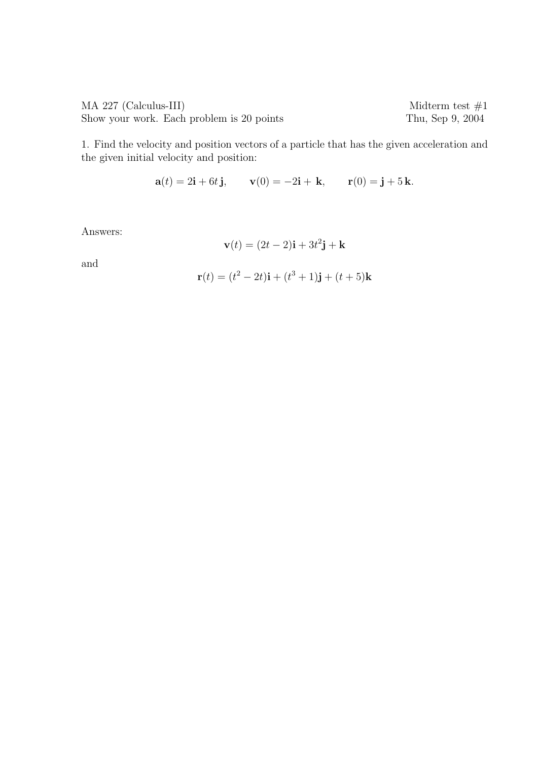$\begin{array}{ll}\n\text{MA } 227 \text{ (Calculus-III)} \\
\text{Show your work. Each problem is 20 points}\n\end{array}\n\quad\n\begin{array}{ll}\n\text{Midterm test } \#1 \\
\text{Thus, Sep } 9, 2004\n\end{array}$ Show your work. Each problem is 20 points

1. Find the velocity and position vectors of a particle that has the given acceleration and the given initial velocity and position:

$$
a(t) = 2i + 6t j
$$
,  $v(0) = -2i + k$ ,  $r(0) = j + 5k$ .

Answers:

$$
\mathbf{v}(t) = (2t - 2)\mathbf{i} + 3t^2\mathbf{j} + \mathbf{k}
$$

and

$$
\mathbf{r}(t) = (t^2 - 2t)\mathbf{i} + (t^3 + 1)\mathbf{j} + (t + 5)\mathbf{k}
$$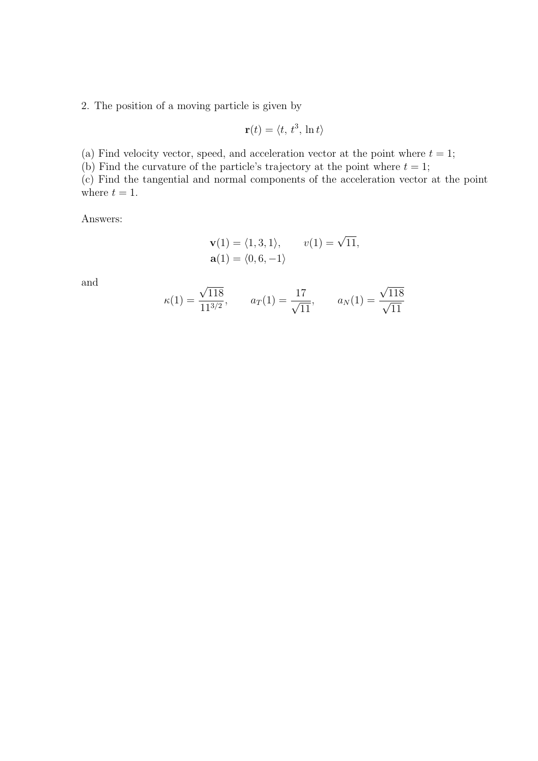2. The position of a moving particle is given by

$$
\mathbf{r}(t) = \langle t, t^3, \ln t \rangle
$$

(a) Find velocity vector, speed, and acceleration vector at the point where  $t = 1$ ;

(b) Find the curvature of the particle's trajectory at the point where  $t = 1$ ;

(c) Find the tangential and normal components of the acceleration vector at the point where  $t = 1$ .

Answers:

$$
\mathbf{v}(1) = \langle 1, 3, 1 \rangle, \qquad v(1) = \sqrt{11},
$$
  

$$
\mathbf{a}(1) = \langle 0, 6, -1 \rangle
$$

and

$$
\kappa(1) = \frac{\sqrt{118}}{11^{3/2}},
$$
\n $a_T(1) = \frac{17}{\sqrt{11}},$ \n $a_N(1) = \frac{\sqrt{118}}{\sqrt{11}}$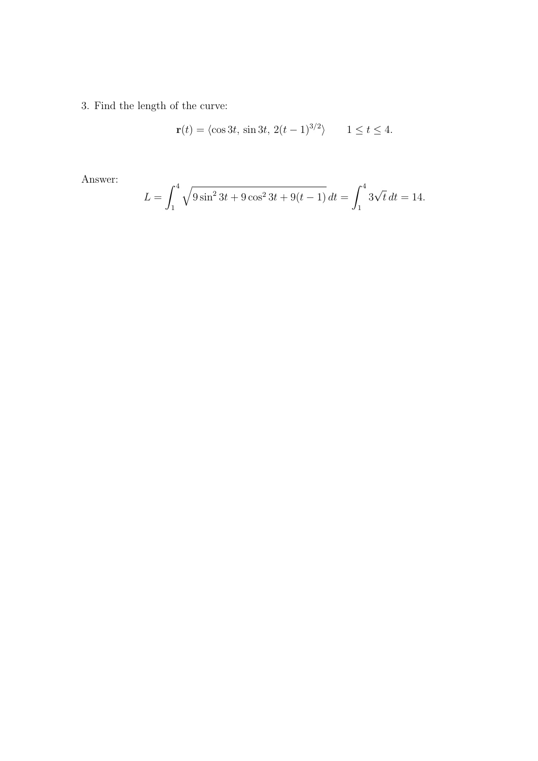3. Find the length of the curve:

$$
\mathbf{r}(t) = \langle \cos 3t, \, \sin 3t, \, 2(t-1)^{3/2} \rangle \qquad 1 \le t \le 4.
$$

Answer:

$$
L = \int_1^4 \sqrt{9\sin^2 3t + 9\cos^2 3t + 9(t-1)} dt = \int_1^4 3\sqrt{t} dt = 14.
$$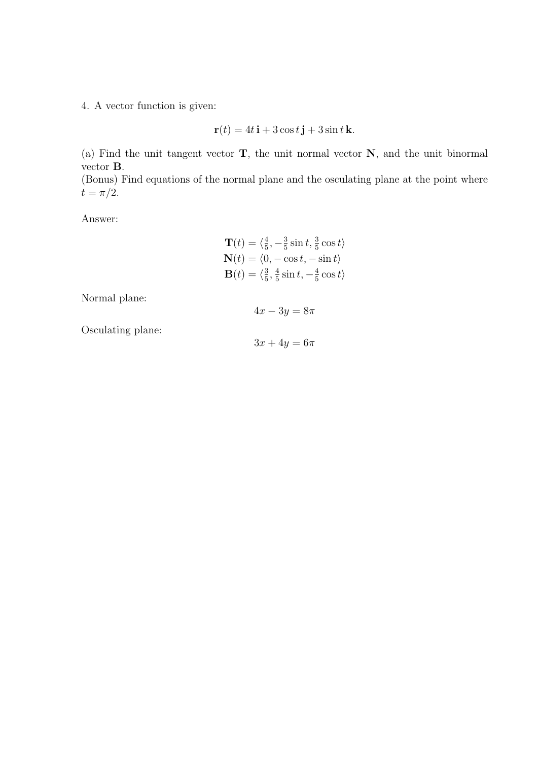4. A vector function is given:

$$
\mathbf{r}(t) = 4t\,\mathbf{i} + 3\cos t\,\mathbf{j} + 3\sin t\,\mathbf{k}.
$$

(a) Find the unit tangent vector T, the unit normal vector N, and the unit binormal vector B.

(Bonus) Find equations of the normal plane and the osculating plane at the point where  $t = \pi/2$ .

Answer:

$$
\mathbf{T}(t) = \langle \frac{4}{5}, -\frac{3}{5} \sin t, \frac{3}{5} \cos t \rangle
$$
  

$$
\mathbf{N}(t) = \langle 0, -\cos t, -\sin t \rangle
$$
  

$$
\mathbf{B}(t) = \langle \frac{3}{5}, \frac{4}{5} \sin t, -\frac{4}{5} \cos t \rangle
$$

Normal plane:

 $4x - 3y = 8\pi$ 

Osculating plane:

 $3x + 4y = 6\pi$